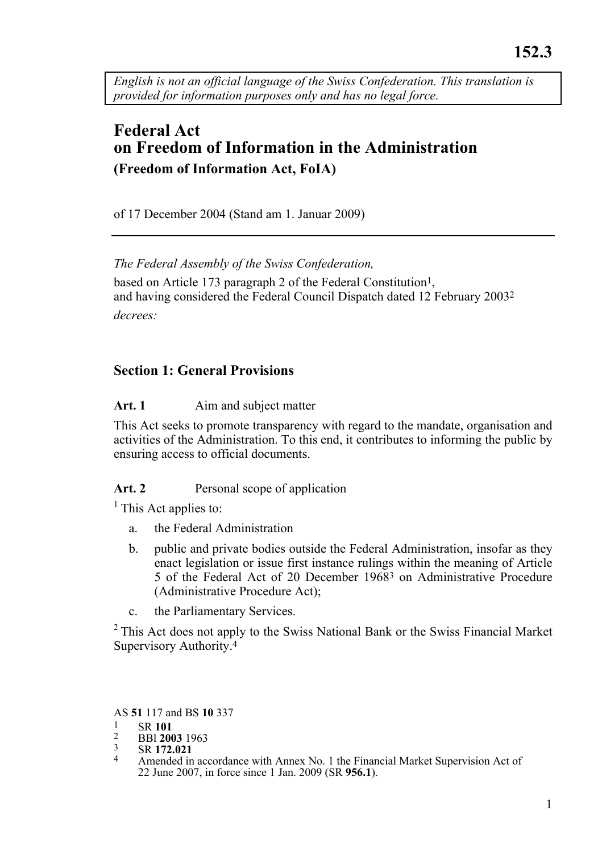*English is not an official language of the Swiss Confederation. This translation is provided for information purposes only and has no legal force.* 

# **Federal Act on Freedom of Information in the Administration (Freedom of Information Act, FoIA)**

of 17 December 2004 (Stand am 1. Januar 2009)

*The Federal Assembly of the Swiss Confederation,*  based on Article 173 paragraph 2 of the Federal Constitution<sup>1</sup>, and having considered the Federal Council Dispatch dated 12 February 20032 *decrees:* 

# **Section 1: General Provisions**

# Art. 1 Aim and subject matter

This Act seeks to promote transparency with regard to the mandate, organisation and activities of the Administration. To this end, it contributes to informing the public by ensuring access to official documents.

# Art. 2 **Personal scope of application**

<sup>1</sup> This Act applies to:

- a. the Federal Administration
- b. public and private bodies outside the Federal Administration, insofar as they enact legislation or issue first instance rulings within the meaning of Article 5 of the Federal Act of 20 December 19683 on Administrative Procedure (Administrative Procedure Act);
- c. the Parliamentary Services.

 $2$ <sup>2</sup> This Act does not apply to the Swiss National Bank or the Swiss Financial Market Supervisory Authority.<sup>4</sup>

AS **51** 117 and BS **10** 337<br>
<sup>1</sup> SR **101**<br>
<sup>2</sup> BBl **2003** 1963<br>
<sup>3</sup> SR **172.021**<br>
<sup>4</sup> Amended in accordance with Annex No. 1 the Financial Market Supervision Act of 22 June 2007, in force since 1 Jan. 2009 (SR **956.1**).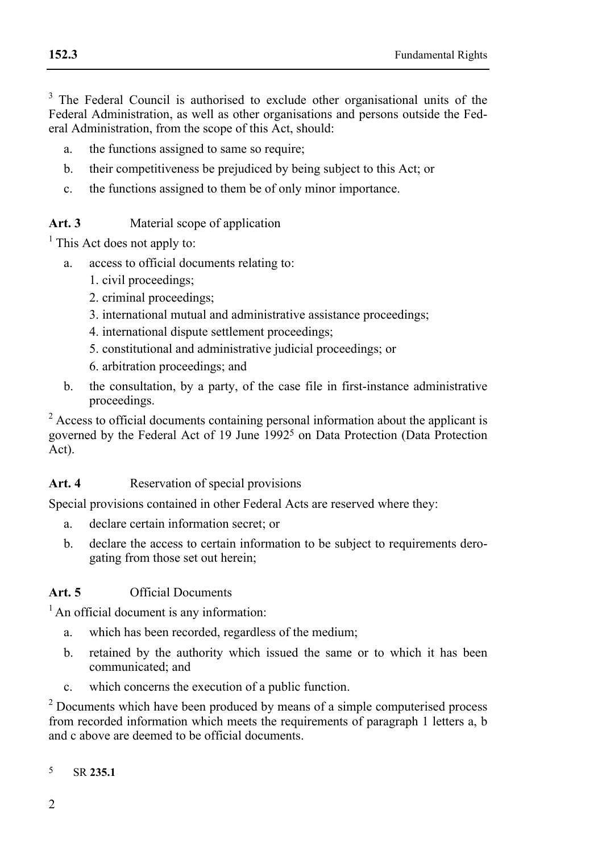$3$  The Federal Council is authorised to exclude other organisational units of the Federal Administration, as well as other organisations and persons outside the Federal Administration, from the scope of this Act, should:

- a. the functions assigned to same so require;
- b. their competitiveness be prejudiced by being subject to this Act; or
- c. the functions assigned to them be of only minor importance.

### Art. 3 Material scope of application

 $<sup>1</sup>$  This Act does not apply to:</sup>

- a. access to official documents relating to:
	- 1. civil proceedings;
	- 2. criminal proceedings;
	- 3. international mutual and administrative assistance proceedings;
	- 4. international dispute settlement proceedings;
	- 5. constitutional and administrative judicial proceedings; or
	- 6. arbitration proceedings; and
- b. the consultation, by a party, of the case file in first-instance administrative proceedings.

<sup>2</sup> Access to official documents containing personal information about the applicant is governed by the Federal Act of 19 June 19925 on Data Protection (Data Protection Act).

#### Art. 4 **Reservation of special provisions**

Special provisions contained in other Federal Acts are reserved where they:

- a. declare certain information secret; or
- b. declare the access to certain information to be subject to requirements derogating from those set out herein;

## **Art. 5** Official Documents

<sup>1</sup> An official document is any information:

- a. which has been recorded, regardless of the medium;
- b. retained by the authority which issued the same or to which it has been communicated; and
- c. which concerns the execution of a public function.

<sup>2</sup> Documents which have been produced by means of a simple computerised process from recorded information which meets the requirements of paragraph 1 letters a, b and c above are deemed to be official documents.

 $\overline{5}$ 5 SR **235.1**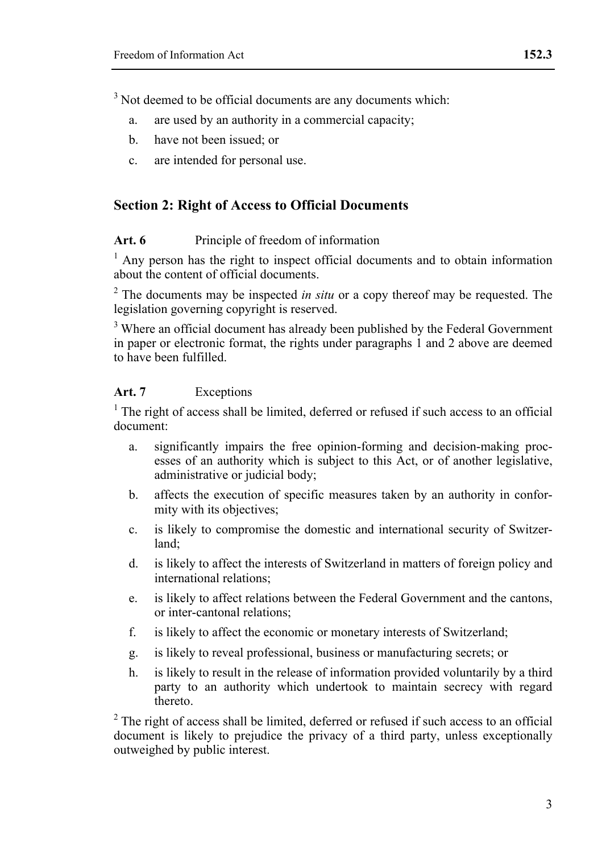$3$  Not deemed to be official documents are any documents which:

- a. are used by an authority in a commercial capacity;
- b. have not been issued; or
- c. are intended for personal use.

# **Section 2: Right of Access to Official Documents**

#### **Art. 6** Principle of freedom of information

 $<sup>1</sup>$  Any person has the right to inspect official documents and to obtain information</sup> about the content of official documents.

<sup>2</sup> The documents may be inspected *in situ* or a copy thereof may be requested. The legislation governing copyright is reserved.

<sup>3</sup> Where an official document has already been published by the Federal Government in paper or electronic format, the rights under paragraphs 1 and 2 above are deemed to have been fulfilled.

#### **Art. 7** Exceptions

 $1$ <sup>1</sup> The right of access shall be limited, deferred or refused if such access to an official document:

- a. significantly impairs the free opinion-forming and decision-making processes of an authority which is subject to this Act, or of another legislative, administrative or judicial body;
- b. affects the execution of specific measures taken by an authority in conformity with its objectives;
- c. is likely to compromise the domestic and international security of Switzerland;
- d. is likely to affect the interests of Switzerland in matters of foreign policy and international relations;
- e. is likely to affect relations between the Federal Government and the cantons, or inter-cantonal relations;
- f. is likely to affect the economic or monetary interests of Switzerland;
- g. is likely to reveal professional, business or manufacturing secrets; or
- h. is likely to result in the release of information provided voluntarily by a third party to an authority which undertook to maintain secrecy with regard thereto.

 $^{2}$  The right of access shall be limited, deferred or refused if such access to an official document is likely to prejudice the privacy of a third party, unless exceptionally outweighed by public interest.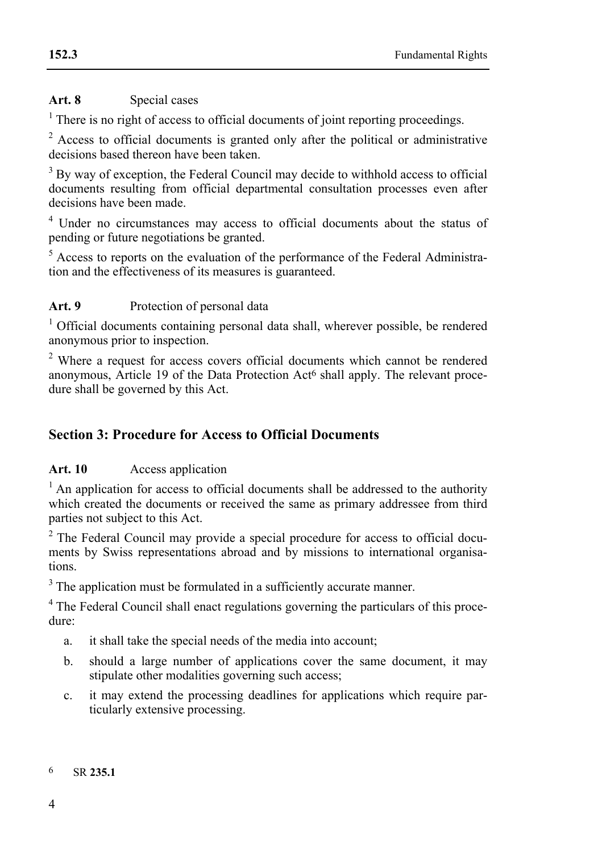### Art. 8 Special cases

<sup>1</sup> There is no right of access to official documents of joint reporting proceedings.

<sup>2</sup> Access to official documents is granted only after the political or administrative decisions based thereon have been taken.

<sup>3</sup> By way of exception, the Federal Council may decide to withhold access to official documents resulting from official departmental consultation processes even after decisions have been made.

<sup>4</sup> Under no circumstances may access to official documents about the status of pending or future negotiations be granted.

<sup>5</sup> Access to reports on the evaluation of the performance of the Federal Administration and the effectiveness of its measures is guaranteed.

# Art. 9 Protection of personal data

<sup>1</sup> Official documents containing personal data shall, wherever possible, be rendered anonymous prior to inspection.

<sup>2</sup> Where a request for access covers official documents which cannot be rendered anonymous, Article 19 of the Data Protection Act<sup>6</sup> shall apply. The relevant procedure shall be governed by this Act.

# **Section 3: Procedure for Access to Official Documents**

#### **Art. 10** Access application

 $<sup>1</sup>$  An application for access to official documents shall be addressed to the authority</sup> which created the documents or received the same as primary addressee from third parties not subject to this Act.

<sup>2</sup> The Federal Council may provide a special procedure for access to official documents by Swiss representations abroad and by missions to international organisations.

<sup>3</sup> The application must be formulated in a sufficiently accurate manner.

<sup>4</sup> The Federal Council shall enact regulations governing the particulars of this procedure:

- a. it shall take the special needs of the media into account;
- b. should a large number of applications cover the same document, it may stipulate other modalities governing such access;
- c. it may extend the processing deadlines for applications which require particularly extensive processing.

#### 6 SR **235.1**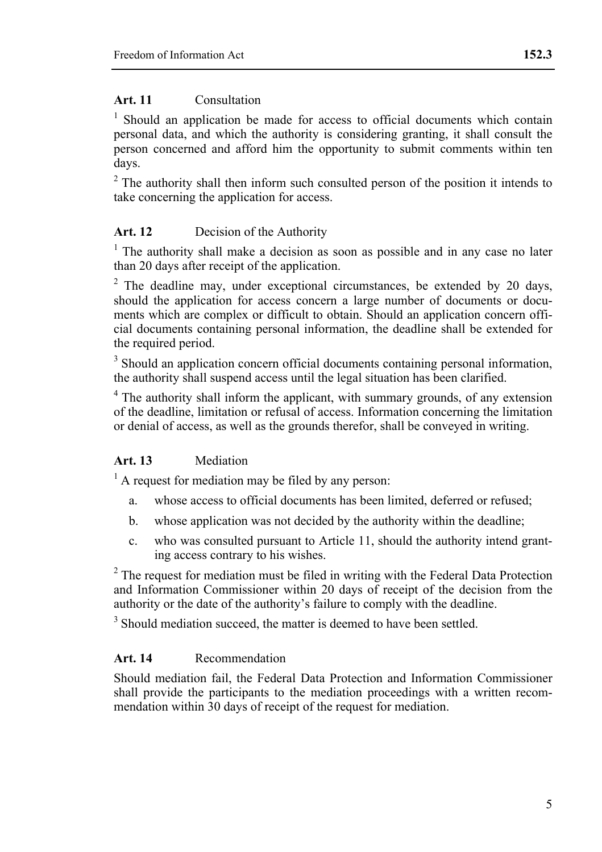### **Art. 11** Consultation

<sup>1</sup> Should an application be made for access to official documents which contain personal data, and which the authority is considering granting, it shall consult the person concerned and afford him the opportunity to submit comments within ten days.

 $2$ <sup>2</sup> The authority shall then inform such consulted person of the position it intends to take concerning the application for access.

# **Art. 12** Decision of the Authority

 $<sup>1</sup>$  The authority shall make a decision as soon as possible and in any case no later</sup> than 20 days after receipt of the application.

 $2$  The deadline may, under exceptional circumstances, be extended by 20 days, should the application for access concern a large number of documents or documents which are complex or difficult to obtain. Should an application concern official documents containing personal information, the deadline shall be extended for the required period.

<sup>3</sup> Should an application concern official documents containing personal information, the authority shall suspend access until the legal situation has been clarified.

<sup>4</sup> The authority shall inform the applicant, with summary grounds, of any extension of the deadline, limitation or refusal of access. Information concerning the limitation or denial of access, as well as the grounds therefor, shall be conveyed in writing.

# **Art. 13** Mediation

 $<sup>1</sup>$  A request for mediation may be filed by any person:</sup>

- a. whose access to official documents has been limited, deferred or refused;
- b. whose application was not decided by the authority within the deadline;
- c. who was consulted pursuant to Article 11, should the authority intend granting access contrary to his wishes.

 $2$  The request for mediation must be filed in writing with the Federal Data Protection and Information Commissioner within 20 days of receipt of the decision from the authority or the date of the authority's failure to comply with the deadline.

<sup>3</sup> Should mediation succeed, the matter is deemed to have been settled.

#### **Art. 14** Recommendation

Should mediation fail, the Federal Data Protection and Information Commissioner shall provide the participants to the mediation proceedings with a written recommendation within 30 days of receipt of the request for mediation.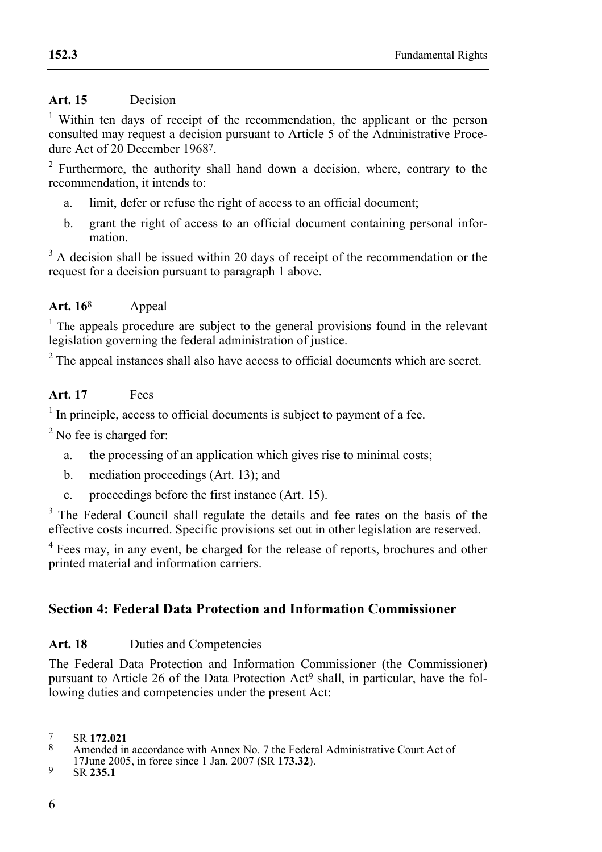# **Art. 15** Decision

<sup>1</sup> Within ten days of receipt of the recommendation, the applicant or the person consulted may request a decision pursuant to Article 5 of the Administrative Procedure Act of 20 December 19687

<sup>2</sup> Furthermore, the authority shall hand down a decision, where, contrary to the recommendation, it intends to:

- a. limit, defer or refuse the right of access to an official document;
- b. grant the right of access to an official document containing personal information.

<sup>3</sup> A decision shall be issued within 20 days of receipt of the recommendation or the request for a decision pursuant to paragraph 1 above.

### **Art. 16**8 Appeal

<sup>1</sup> The appeals procedure are subject to the general provisions found in the relevant legislation governing the federal administration of justice.

 $2^2$  The appeal instances shall also have access to official documents which are secret.

### **Art. 17** Fees

In principle, access to official documents is subject to payment of a fee.

<sup>2</sup> No fee is charged for:

- a. the processing of an application which gives rise to minimal costs;
- b. mediation proceedings (Art. 13); and
- c. proceedings before the first instance (Art. 15).

<sup>3</sup> The Federal Council shall regulate the details and fee rates on the basis of the effective costs incurred. Specific provisions set out in other legislation are reserved.

<sup>4</sup> Fees may, in any event, be charged for the release of reports, brochures and other printed material and information carriers.

# **Section 4: Federal Data Protection and Information Commissioner**

#### Art. 18 **Duties and Competencies**

The Federal Data Protection and Information Commissioner (the Commissioner) pursuant to Article 26 of the Data Protection Act9 shall, in particular, have the following duties and competencies under the present Act:

<sup>7</sup> SR **172.021**<br><sup>8</sup> Amended in accordance with Annex No. 7 the Federal Administrative Court Act of 17June 2005, in force since 1 Jan. 2007 (SR **173.32**). 9 SR **235.1**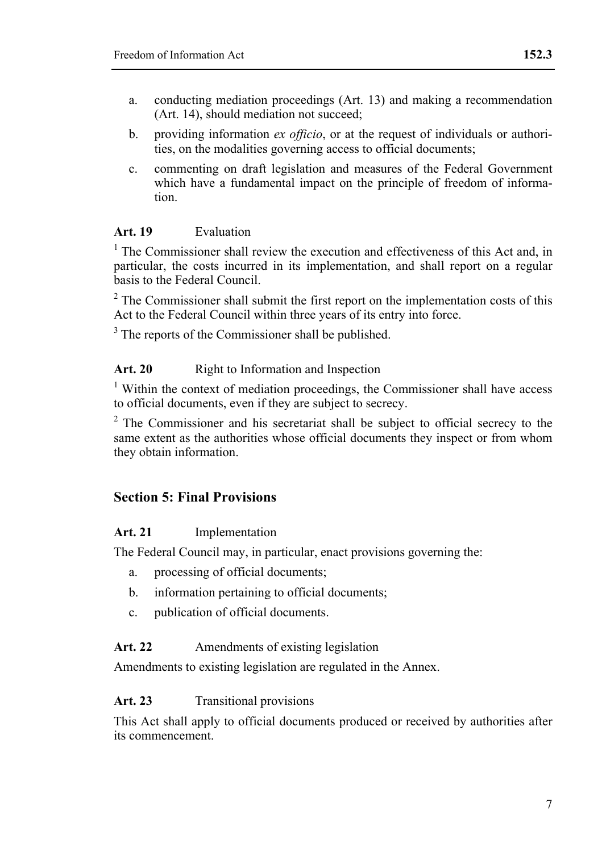- a. conducting mediation proceedings (Art. 13) and making a recommendation (Art. 14), should mediation not succeed;
- b. providing information *ex officio*, or at the request of individuals or authorities, on the modalities governing access to official documents;
- c. commenting on draft legislation and measures of the Federal Government which have a fundamental impact on the principle of freedom of information.

#### **Art. 19** Evaluation

 $1$  The Commissioner shall review the execution and effectiveness of this Act and, in particular, the costs incurred in its implementation, and shall report on a regular basis to the Federal Council.

 $2^2$  The Commissioner shall submit the first report on the implementation costs of this Act to the Federal Council within three years of its entry into force.

 $3$  The reports of the Commissioner shall be published.

#### Art. 20 **Right to Information and Inspection**

 $1$  Within the context of mediation proceedings, the Commissioner shall have access to official documents, even if they are subject to secrecy.

<sup>2</sup> The Commissioner and his secretariat shall be subject to official secrecy to the same extent as the authorities whose official documents they inspect or from whom they obtain information.

# **Section 5: Final Provisions**

#### **Art. 21** Implementation

The Federal Council may, in particular, enact provisions governing the:

- a. processing of official documents;
- b. information pertaining to official documents;
- c. publication of official documents.

### Art. 22 Amendments of existing legislation

Amendments to existing legislation are regulated in the Annex.

#### Art. 23 **Transitional provisions**

This Act shall apply to official documents produced or received by authorities after its commencement.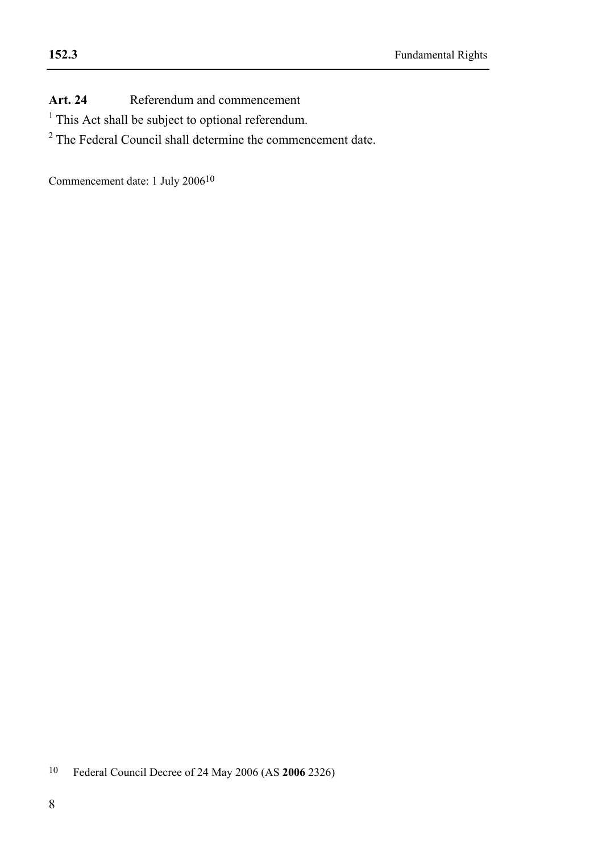Art. 24 Referendum and commencement

- <sup>1</sup> This Act shall be subject to optional referendum.
- <sup>2</sup> The Federal Council shall determine the commencement date.

Commencement date: 1 July 200610

 $10\,$ 10 Federal Council Decree of 24 May 2006 (AS **2006** 2326)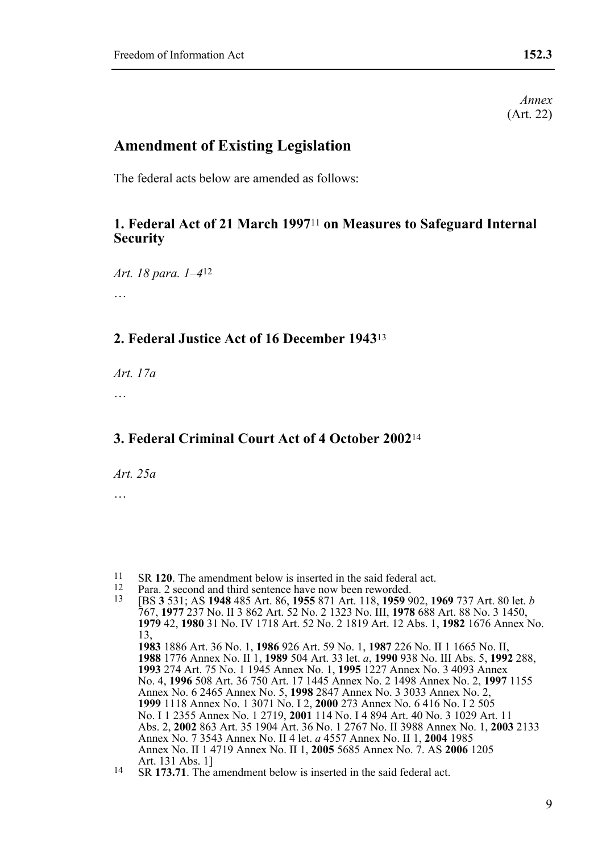*Annex*  (Art. 22)

# **Amendment of Existing Legislation**

The federal acts below are amended as follows:

# **1. Federal Act of 21 March 1997**11 **on Measures to Safeguard Internal Security**

*Art. 18 para. 1–4*12

…

# **2. Federal Justice Act of 16 December 1943**<sup>13</sup>

*Art. 17a* 

…

# **3. Federal Criminal Court Act of 4 October 2002**<sup>14</sup>

*Art. 25a* 

 $11$ 

<sup>&</sup>lt;sup>11</sup> SR 120. The amendment below is inserted in the said federal act.<br><sup>12</sup> Para. 2 second and third sentence have now been reworded.<br><sup>13</sup> IBS 3 531: AS 1948 485 Art. 86, 1955 871 Art. 118, 1959 902, 1969 737 Art. 80 let. 767, **1977** 237 No. II 3 862 Art. 52 No. 2 1323 No. III, **1978** 688 Art. 88 No. 3 1450, **1979** 42, **1980** 31 No. IV 1718 Art. 52 No. 2 1819 Art. 12 Abs. 1, **1982** 1676 Annex No. 13, **1983** 1886 Art. 36 No. 1, **1986** 926 Art. 59 No. 1, **1987** 226 No. II 1 1665 No. II, **1988** 1776 Annex No. II 1, **1989** 504 Art. 33 let. *a*, **1990** 938 No. III Abs. 5, **1992** 288, **1993** 274 Art. 75 No. 1 1945 Annex No. 1, **1995** 1227 Annex No. 3 4093 Annex No. 4, **1996** 508 Art. 36 750 Art. 17 1445 Annex No. 2 1498 Annex No. 2, **1997** 1155 Annex No. 6 2465 Annex No. 5, **1998** 2847 Annex No. 3 3033 Annex No. 2, **1999** 1118 Annex No. 1 3071 No. I 2, **2000** 273 Annex No. 6 416 No. I 2 505 No. I 1 2355 Annex No. 1 2719, **2001** 114 No. I 4 894 Art. 40 No. 3 1029 Art. 11 Abs. 2, **2002** 863 Art. 35 1904 Art. 36 No. 1 2767 No. II 3988 Annex No. 1, **2003** 2133 Annex No. 7 3543 Annex No. II 4 let. *a* 4557 Annex No. II 1, **2004** 1985 Annex No. II 1 4719 Annex No. II 1, **2005** 5685 Annex No. 7. AS **2006** 1205

<sup>14</sup> SR 173.71. The amendment below is inserted in the said federal act.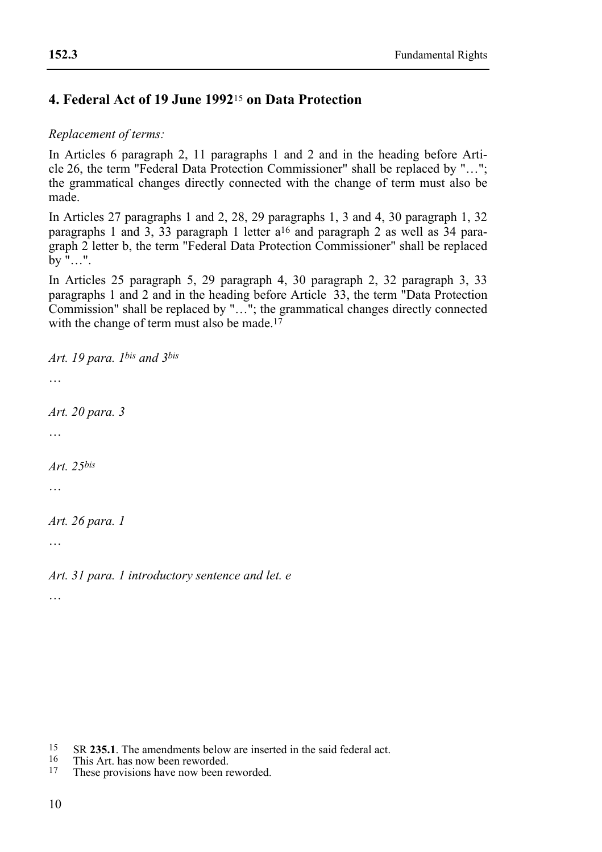# **4. Federal Act of 19 June 1992**15 **on Data Protection**

### *Replacement of terms:*

In Articles 6 paragraph 2, 11 paragraphs 1 and 2 and in the heading before Article 26, the term "Federal Data Protection Commissioner" shall be replaced by "…"; the grammatical changes directly connected with the change of term must also be made.

In Articles 27 paragraphs 1 and 2, 28, 29 paragraphs 1, 3 and 4, 30 paragraph 1, 32 paragraphs 1 and 3, 33 paragraph 1 letter  $a^{16}$  and paragraph 2 as well as 34 paragraph 2 letter b, the term "Federal Data Protection Commissioner" shall be replaced  $\overline{b}y$ "...".

In Articles 25 paragraph 5, 29 paragraph 4, 30 paragraph 2, 32 paragraph 3, 33 paragraphs 1 and 2 and in the heading before Article 33, the term "Data Protection Commission" shall be replaced by "…"; the grammatical changes directly connected with the change of term must also be made.<sup>17</sup>

*Art. 19 para. 1bis and 3bis* … *Art. 20 para. 3*  … *Art. 25bis* … *Art. 26 para. 1*  …

*Art. 31 para. 1 introductory sentence and let. e* 

…

- 15 <sup>15</sup> SR **235.1**. The amendments below are inserted in the said federal act.<br><sup>16</sup> This Art. has now been reworded.<br><sup>17</sup> These provisions have now been reworded.
- 
-